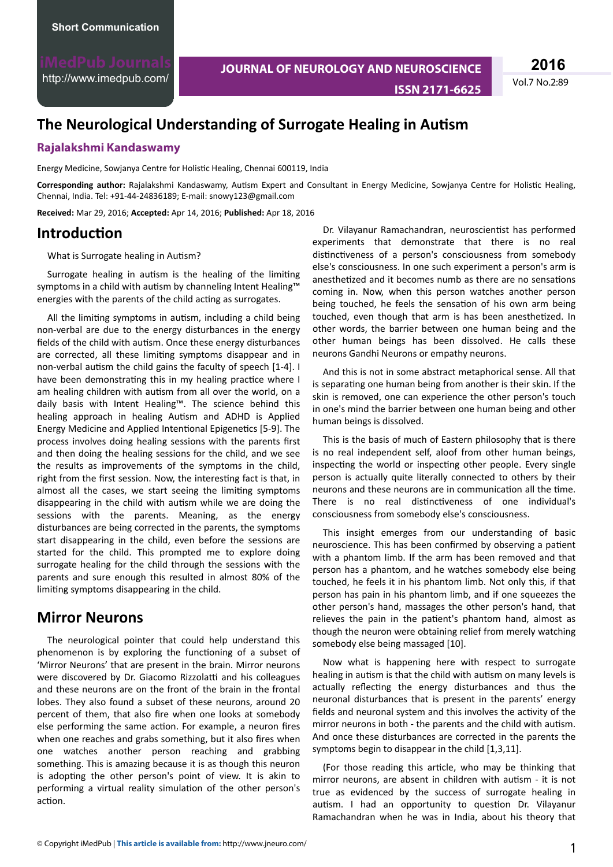<http://www.imedpub.com/>

**JOURNAL OF NEUROLOGY AND NEUROSCIENCE ISSN 2171-6625** Vol.7 No.2:89

**2016**

# **The Neurological Understanding of Surrogate Healing in Autism**

#### **Rajalakshmi Kandaswamy**

Energy Medicine, Sowjanya Centre for Holistic Healing, Chennai 600119, India

Corresponding author: Rajalakshmi Kandaswamy, Autism Expert and Consultant in Energy Medicine, Sowjanya Centre for Holistic Healing, Chennai, India. Tel: +91-44-24836189; E-mail: snowy123@gmail.com

**Received:** Mar 29, 2016; **Accepted:** Apr 14, 2016; **Published:** Apr 18, 2016

#### *<u>Introduction</u>*

What is Surrogate healing in Autism?

Surrogate healing in autism is the healing of the limiting symptoms in a child with autism by channeling Intent Healing™ energies with the parents of the child acting as surrogates.

All the limiting symptoms in autism, including a child being non-verbal are due to the energy disturbances in the energy fields of the child with autism. Once these energy disturbances are corrected, all these limiting symptoms disappear and in non-verbal autism the child gains the faculty of speech [1-4]. I have been demonstrating this in my healing practice where I am healing children with autism from all over the world, on a daily basis with Intent Healing™. The science behind this healing approach in healing Autism and ADHD is Applied Energy Medicine and Applied Intentional Epigenetics [5-9]. The process involves doing healing sessions with the parents first and then doing the healing sessions for the child, and we see the results as improvements of the symptoms in the child, right from the first session. Now, the interesting fact is that, in almost all the cases, we start seeing the limiting symptoms disappearing in the child with autism while we are doing the sessions with the parents. Meaning, as the energy disturbances are being corrected in the parents, the symptoms start disappearing in the child, even before the sessions are started for the child. This prompted me to explore doing surrogate healing for the child through the sessions with the parents and sure enough this resulted in almost 80% of the limiting symptoms disappearing in the child.

#### **Mirror Neurons**

The neurological pointer that could help understand this phenomenon is by exploring the functioning of a subset of 'Mirror Neurons' that are present in the brain. Mirror neurons were discovered by Dr. Giacomo Rizzolatti and his colleagues and these neurons are on the front of the brain in the frontal lobes. They also found a subset of these neurons, around 20 percent of them, that also fire when one looks at somebody else performing the same action. For example, a neuron fires when one reaches and grabs something, but it also fires when one watches another person reaching and grabbing something. This is amazing because it is as though this neuron is adopting the other person's point of view. It is akin to performing a virtual reality simulation of the other person's action.

Dr. Vilayanur Ramachandran, neuroscientist has performed experiments that demonstrate that there is no real distinctiveness of a person's consciousness from somebody else's consciousness. In one such experiment a person's arm is anesthetized and it becomes numb as there are no sensations coming in. Now, when this person watches another person being touched, he feels the sensation of his own arm being touched, even though that arm is has been anesthetized. In other words, the barrier between one human being and the other human beings has been dissolved. He calls these neurons Gandhi Neurons or empathy neurons.

And this is not in some abstract metaphorical sense. All that is separating one human being from another is their skin. If the skin is removed, one can experience the other person's touch in one's mind the barrier between one human being and other human beings is dissolved.

This is the basis of much of Eastern philosophy that is there is no real independent self, aloof from other human beings, inspecting the world or inspecting other people. Every single person is actually quite literally connected to others by their neurons and these neurons are in communication all the time. There is no real distinctiveness of one individual's consciousness from somebody else's consciousness.

This insight emerges from our understanding of basic neuroscience. This has been confirmed by observing a patient with a phantom limb. If the arm has been removed and that person has a phantom, and he watches somebody else being touched, he feels it in his phantom limb. Not only this, if that person has pain in his phantom limb, and if one squeezes the other person's hand, massages the other person's hand, that relieves the pain in the patient's phantom hand, almost as though the neuron were obtaining relief from merely watching somebody else being massaged [10].

Now what is happening here with respect to surrogate healing in autism is that the child with autism on many levels is actually reflecting the energy disturbances and thus the neuronal disturbances that is present in the parents' energy fields and neuronal system and this involves the activity of the mirror neurons in both - the parents and the child with autism. And once these disturbances are corrected in the parents the symptoms begin to disappear in the child [1,3,11].

(For those reading this article, who may be thinking that mirror neurons, are absent in children with autism - it is not true as evidenced by the success of surrogate healing in autism. I had an opportunity to question Dr. Vilayanur Ramachandran when he was in India, about his theory that